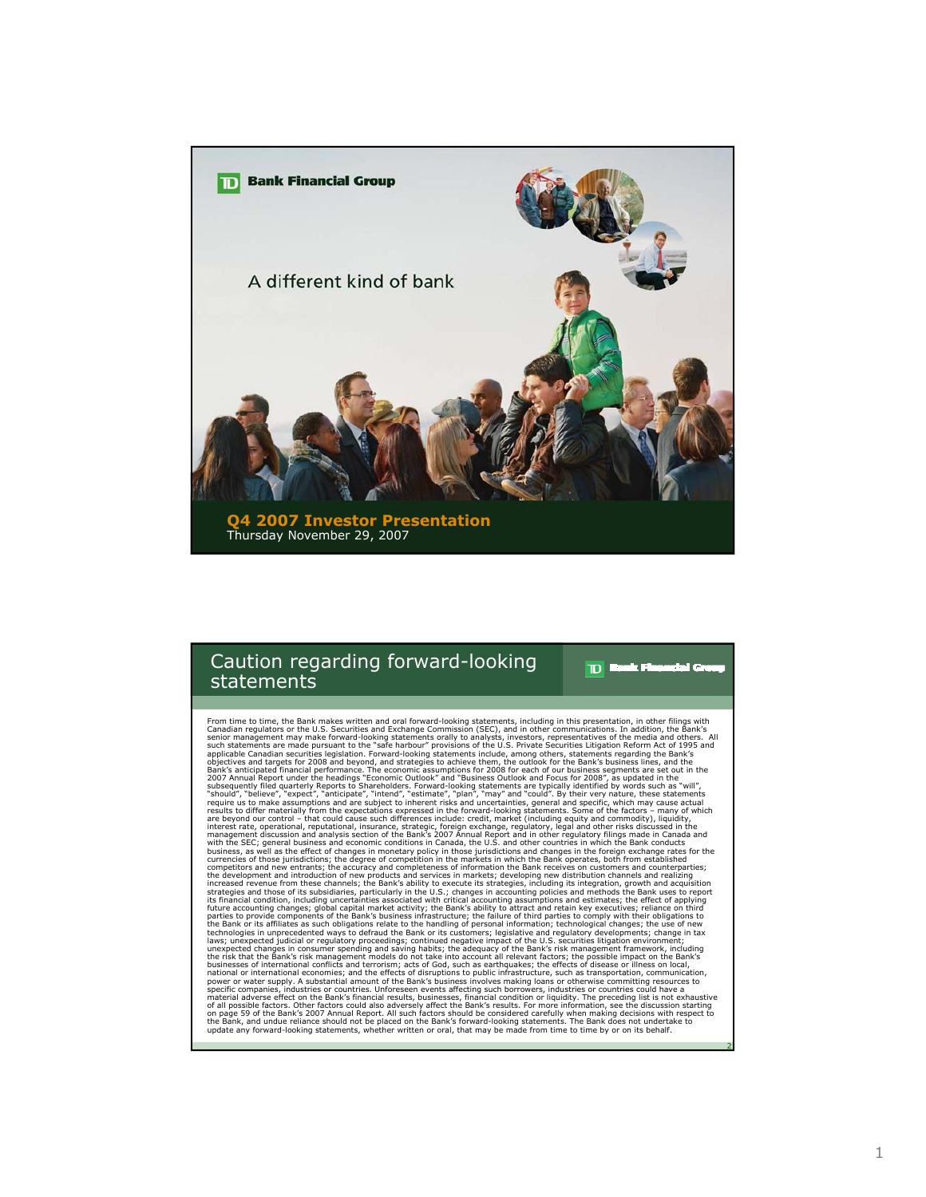

### Caution regarding forward-looking statements

 $\mathbf{D}$ asis F والطر

2

From time to time, the Bank makes written and oral forward-looking statements, including in this presentation, in other filings with<br>Canadian regulators or the U.S. Securities and Exchange Commission (SEC), and in other co competitors and new entrants; the accuracy and completeness of information the Bank receives on customers and counterparties;<br>the development and introduction of new products and services in markets; developing new distrib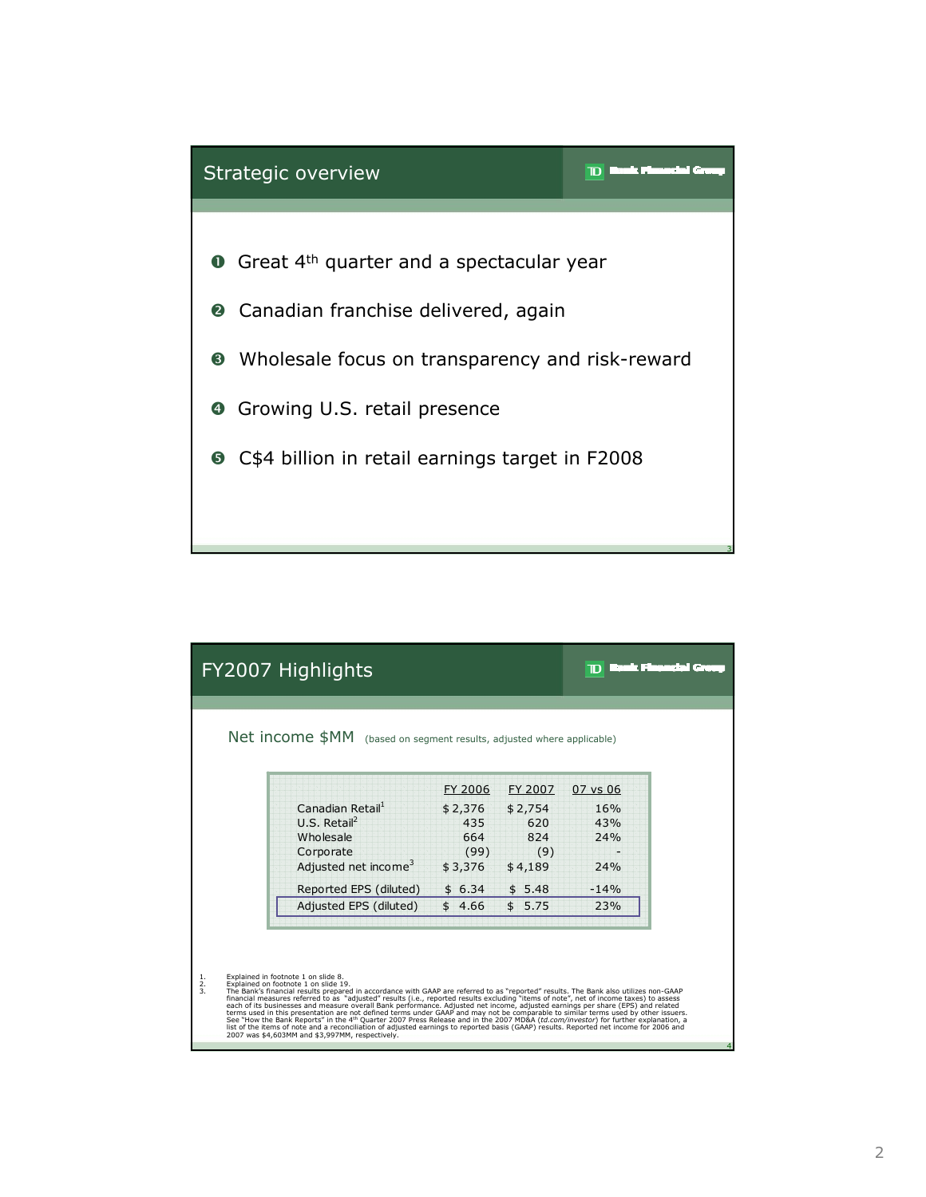

|                       | FY2007 Highlights                                                                                                                                                                                                                                                                                                                                                                                                                                                                                                                                                                                                                                                                                                                                                                                                                                                                                                                                                                     |                                                                         |                                                                        |                                                       | rent and part |
|-----------------------|---------------------------------------------------------------------------------------------------------------------------------------------------------------------------------------------------------------------------------------------------------------------------------------------------------------------------------------------------------------------------------------------------------------------------------------------------------------------------------------------------------------------------------------------------------------------------------------------------------------------------------------------------------------------------------------------------------------------------------------------------------------------------------------------------------------------------------------------------------------------------------------------------------------------------------------------------------------------------------------|-------------------------------------------------------------------------|------------------------------------------------------------------------|-------------------------------------------------------|---------------|
|                       | <b>Net income \$MM</b> (based on segment results, adjusted where applicable)                                                                                                                                                                                                                                                                                                                                                                                                                                                                                                                                                                                                                                                                                                                                                                                                                                                                                                          |                                                                         |                                                                        |                                                       |               |
|                       | Canadian Retail <sup>1</sup><br>$U.S.$ Retail <sup>2</sup><br>Wholesale<br>Corporate<br>Adjusted net income <sup>3</sup><br>Reported EPS (diluted)<br>Adjusted EPS (diluted)                                                                                                                                                                                                                                                                                                                                                                                                                                                                                                                                                                                                                                                                                                                                                                                                          | FY 2006<br>\$2,376<br>435<br>664<br>(99)<br>\$3,376<br>\$6.34<br>\$4.66 | FY 2007<br>\$2,754<br>620<br>824<br>(9)<br>\$4,189<br>\$5.48<br>\$5.75 | 07 vs 06<br>16%<br>43%<br>74%<br>24%<br>$-14%$<br>23% |               |
| $\frac{1}{2}$ .<br>3. | Explained in footnote 1 on slide 8.<br>Explained on footnote 1 on slide 19.<br>The Bank's financial results prepared in accordance with GAAP are referred to as "reported" results. The Bank also utilizes non-GAAP<br>financial measures referred to as "adjusted" results (i.e., reported results excluding "items of note", net of income taxes) to assess<br>each of its businesses and measure overall Bank performance. Adjusted net income, adjusted earnings per share (EPS) and related<br>terms used in this presentation are not defined terms under GAAP and may not be comparable to similar terms used by other issuers.<br>See "How the Bank Reports" in the 4 <sup>th</sup> Ouarter 2007 Press Release and in the 2007 MD&A (td.com/investor) for further explanation, a<br>list of the items of note and a reconciliation of adjusted earnings to reported basis (GAAP) results. Reported net income for 2006 and<br>2007 was \$4,603MM and \$3,997MM, respectively. |                                                                         |                                                                        |                                                       |               |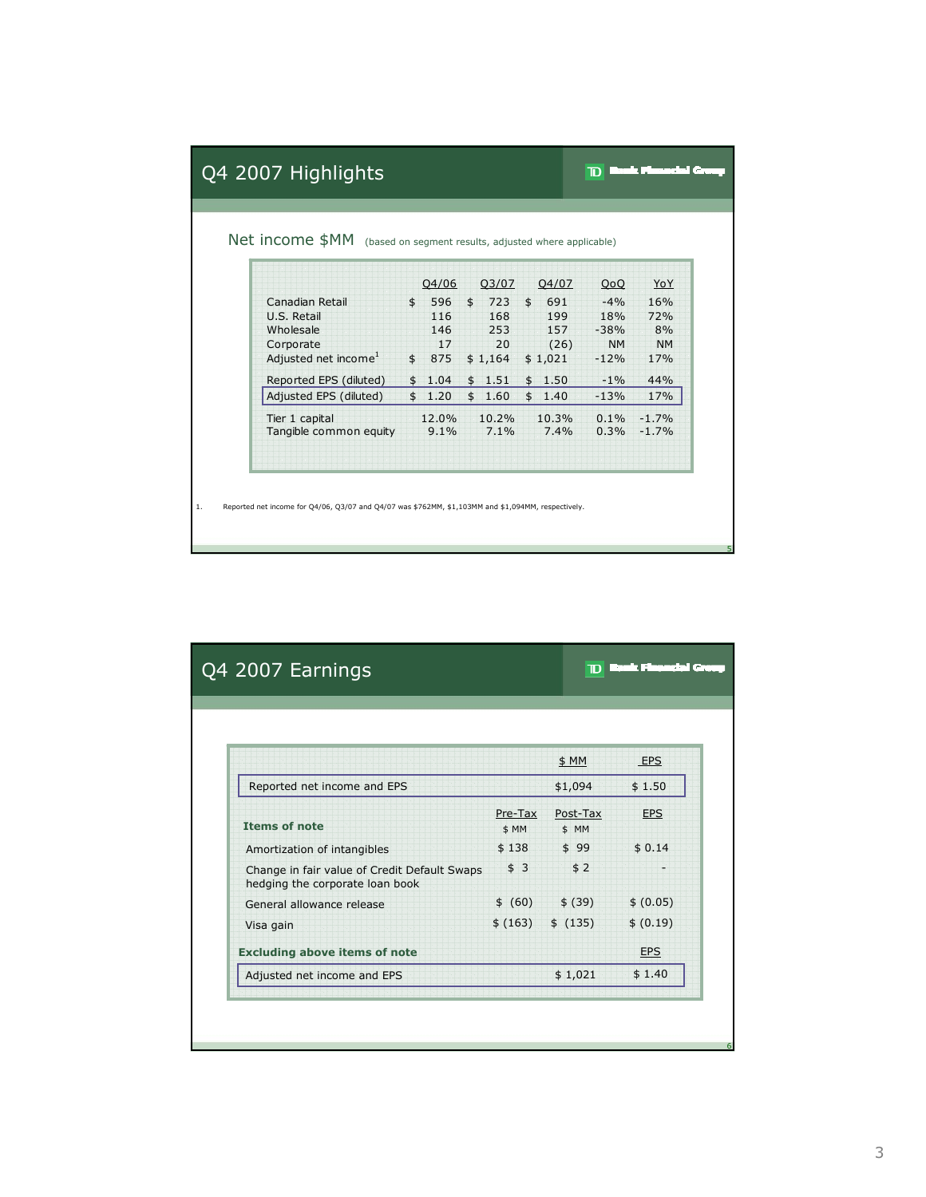|                                  |               | 04/06  |               | 03/07    |               | 04/07   | 0 <sub>0</sub> | YoY       |
|----------------------------------|---------------|--------|---------------|----------|---------------|---------|----------------|-----------|
| Canadian Retail                  | $\frac{1}{2}$ | 596    | $\frac{1}{2}$ | 723      | $\frac{1}{2}$ | 691     | $-4%$          | 16%       |
| U.S. Retail                      |               | 116    |               | 168      |               | 199     | 18%            | 72%       |
| Wholesale                        |               | 146    |               | 253      |               | 157     | $-38%$         | 8%        |
| Corporate                        |               | 17     |               | 20       |               | (26)    | <b>NM</b>      | <b>NM</b> |
| Adjusted net income <sup>1</sup> |               | \$875  |               | \$1,164  |               | \$1,021 | $-12%$         | 17%       |
| Reported EPS (diluted)           | $\mathsf{\$}$ | 1.04   |               | \$1.51   |               | \$1.50  | $-1\%$         | 44%       |
| Adjusted EPS (diluted)           |               | \$1.20 |               | \$1.60   |               | \$1.40  | $-13%$         | 17%       |
| Tier 1 capital                   |               | 12.0%  |               | $10.2\%$ |               | 10.3%   | $0.1\%$        | $-1.7%$   |
| Tangible common equity           |               | 9.1%   |               | 7.1%     |               | 7.4%    | 0.3%           | $-1.7%$   |

|                                                                                 |                  | \$MM              | <b>EPS</b> |
|---------------------------------------------------------------------------------|------------------|-------------------|------------|
| Reported net income and EPS                                                     |                  | \$1,094           | \$1.50     |
| <b>Items of note</b>                                                            | Pre-Tax<br>\$ MM | Post-Tax<br>\$ MM | <b>EPS</b> |
| Amortization of intangibles                                                     | \$138            | \$99              | \$0.14     |
| Change in fair value of Credit Default Swaps<br>hedging the corporate loan book | \$3              | \$2               |            |
| General allowance release                                                       | \$ (60)          | \$ (39)           | \$ (0.05)  |
| Visa gain                                                                       | \$ (163)         | \$ (135)          | \$ (0.19)  |
| <b>Excluding above items of note</b>                                            |                  |                   | <b>EPS</b> |
| Adjusted net income and EPS                                                     |                  | \$1,021           | \$1.40     |

5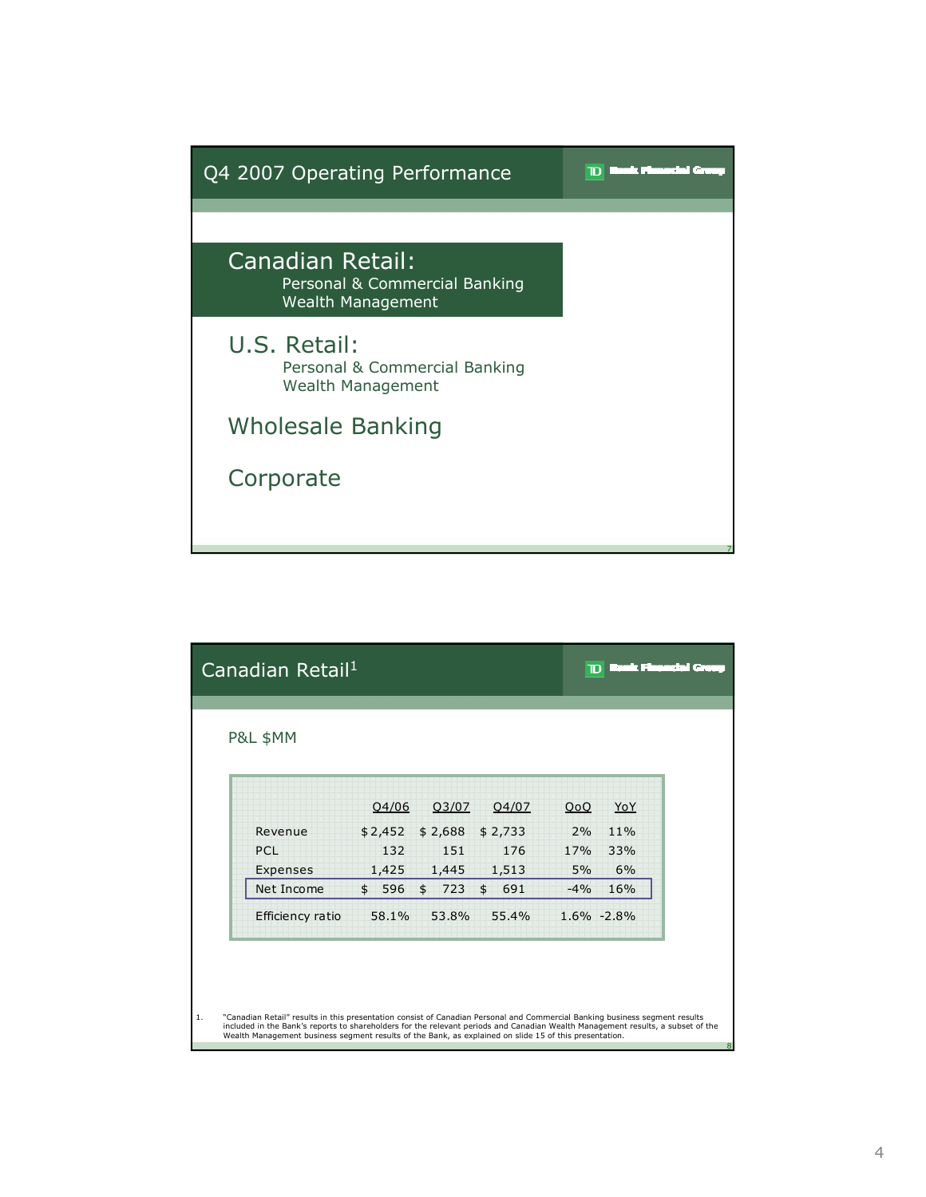

|    | Canadian Retail <sup>1</sup>                                                                                                                                                                                                                                                                                                                                             |                    |                    |                | D           |                | i dia membentuk d |
|----|--------------------------------------------------------------------------------------------------------------------------------------------------------------------------------------------------------------------------------------------------------------------------------------------------------------------------------------------------------------------------|--------------------|--------------------|----------------|-------------|----------------|-------------------|
|    | <b>P&amp;L \$MM</b>                                                                                                                                                                                                                                                                                                                                                      |                    |                    |                |             |                |                   |
|    |                                                                                                                                                                                                                                                                                                                                                                          | Q4/06              | Q3/07              | Q4/07          | QoQ         | YoY            |                   |
|    | Revenue<br>PCL                                                                                                                                                                                                                                                                                                                                                           | \$2,452<br>132     | \$2,688<br>151     | \$2,733<br>176 | 2%<br>17%   | $11\%$<br>33%  |                   |
|    | Expenses<br>Net Income                                                                                                                                                                                                                                                                                                                                                   | 1,425<br>\$<br>596 | 1,445<br>\$<br>723 | 1,513<br>\$691 | 5%<br>$-4%$ | 6%<br>16%      |                   |
|    | Efficiency ratio                                                                                                                                                                                                                                                                                                                                                         | 58.1%              | 53.8%              | 55.4%          |             | $1.6\% -2.8\%$ |                   |
|    |                                                                                                                                                                                                                                                                                                                                                                          |                    |                    |                |             |                |                   |
| 1. | "Canadian Retail" results in this presentation consist of Canadian Personal and Commercial Banking business segment results<br>included in the Bank's reports to shareholders for the relevant periods and Canadian Wealth Management results, a subset of the<br>Wealth Management business segment results of the Bank, as explained on slide 15 of this presentation. |                    |                    |                |             |                | 8                 |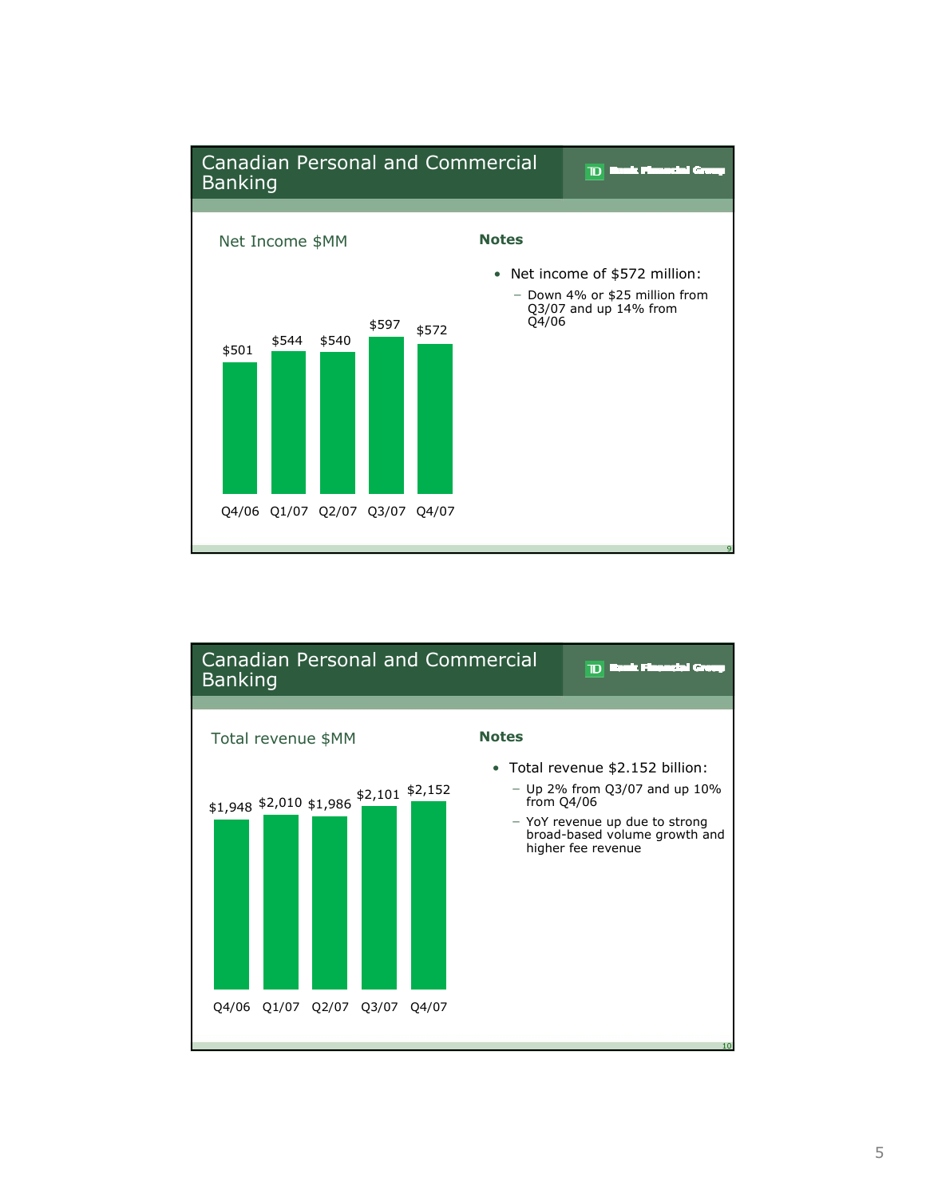

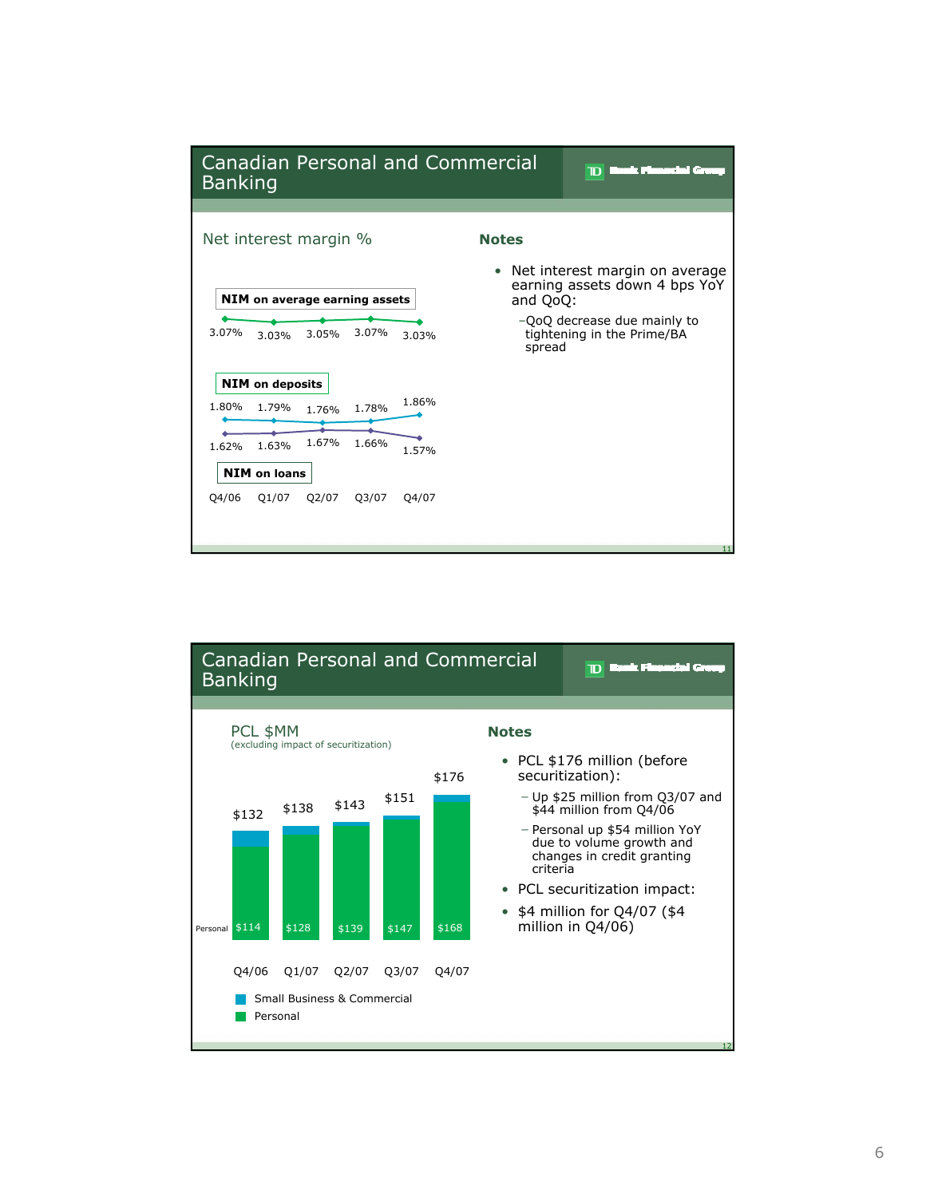

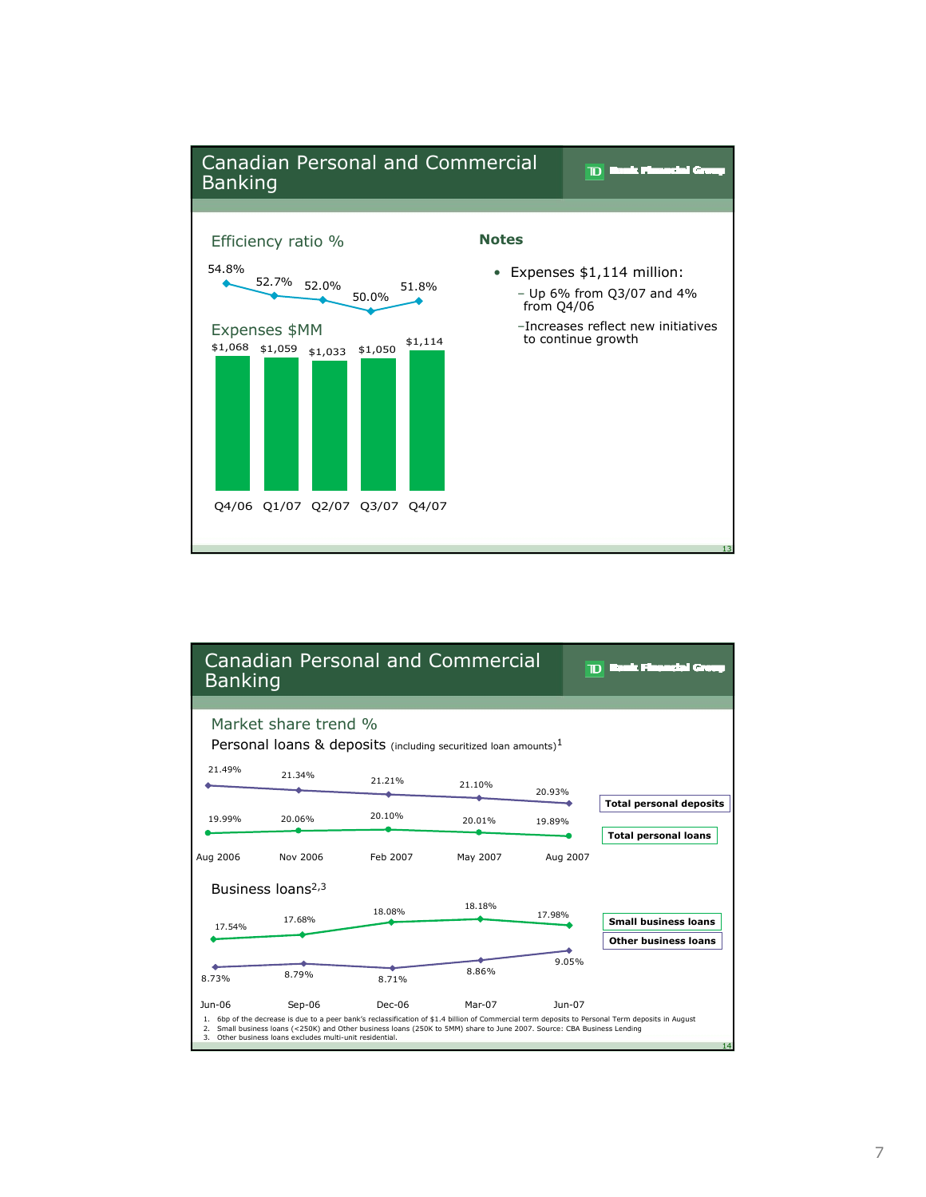

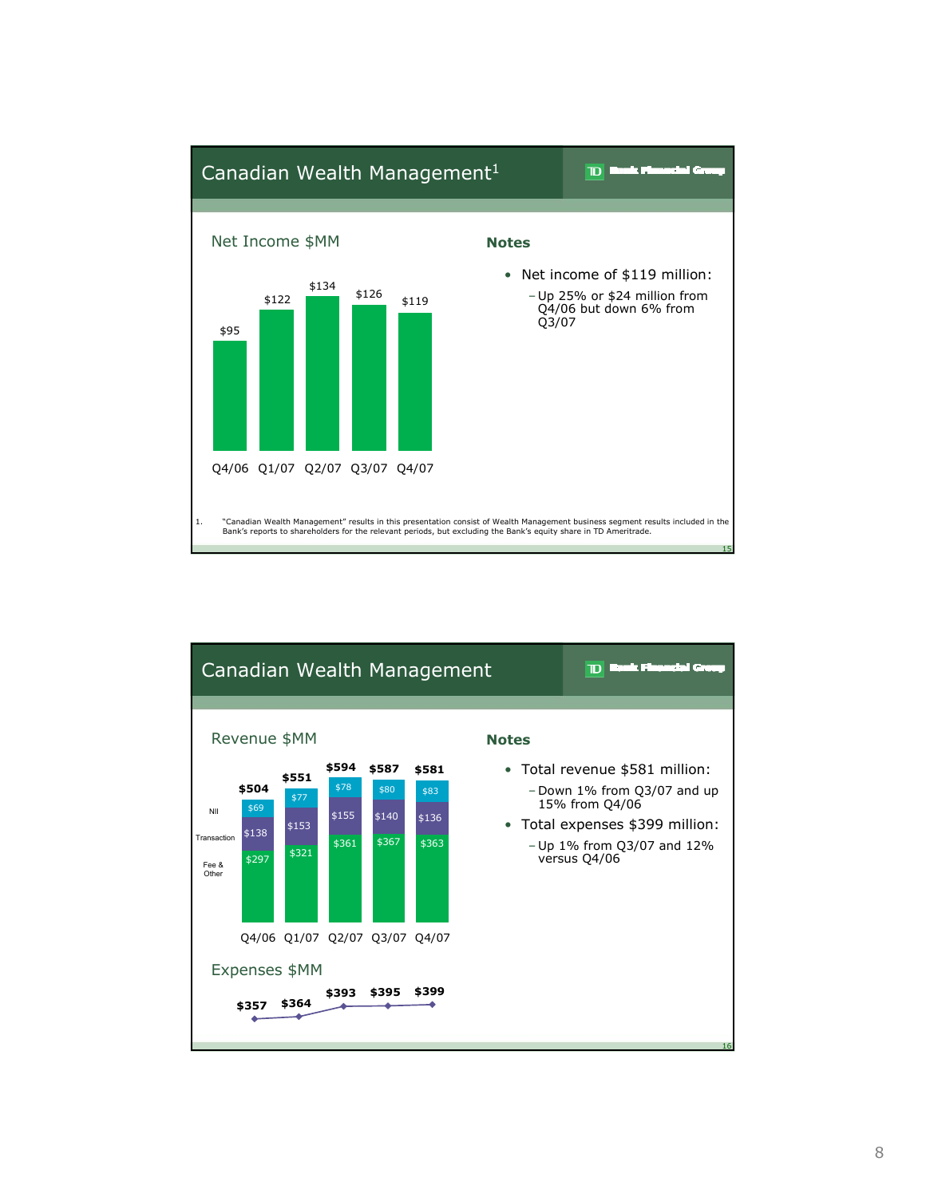

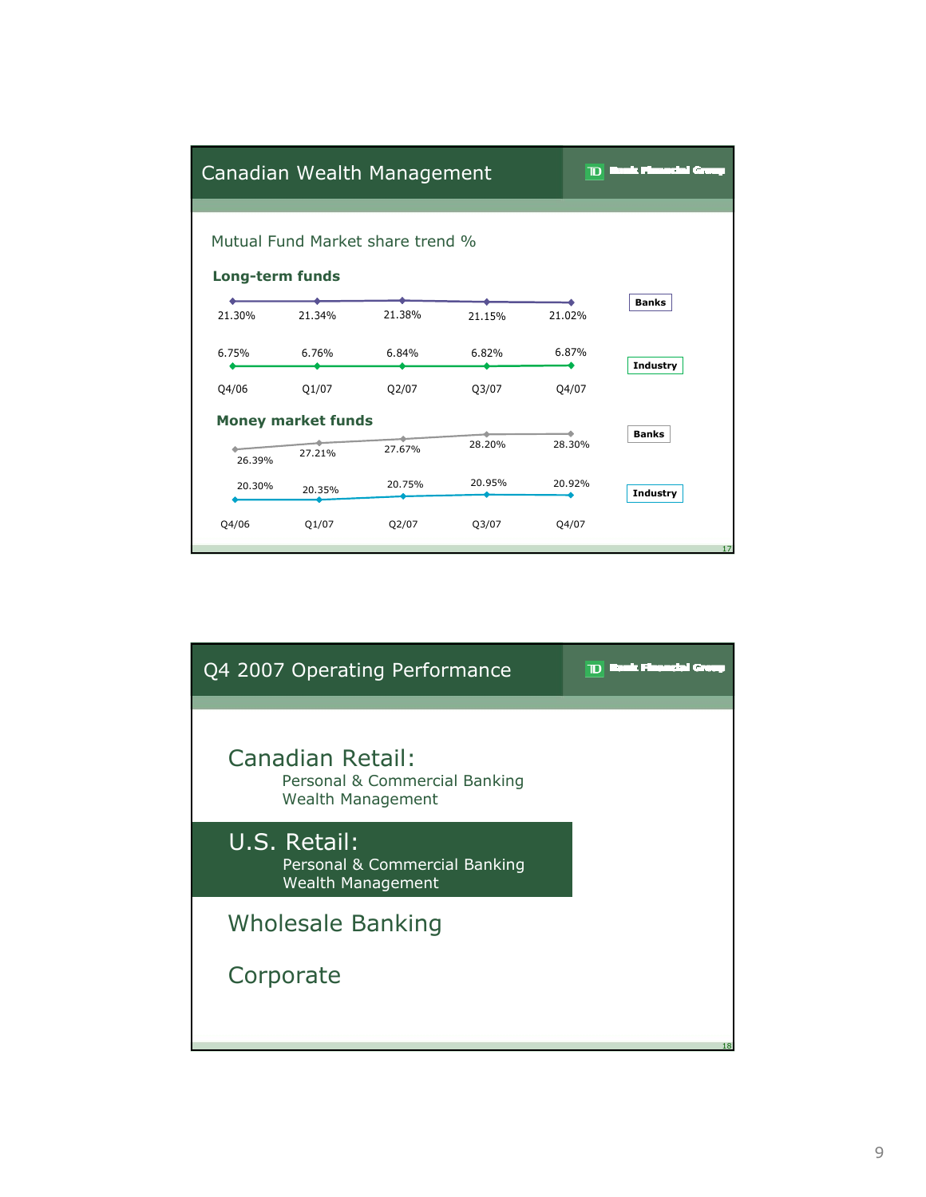|                 |                           | Canadian Wealth Management       |        | D      | −.              |
|-----------------|---------------------------|----------------------------------|--------|--------|-----------------|
| Long-term funds |                           | Mutual Fund Market share trend % |        |        |                 |
| 21.30%          | 21.34%                    | 21.38%                           | 21.15% | 21.02% | <b>Banks</b>    |
| 6.75%           | 6.76%                     | 6.84%                            | 6.82%  | 6.87%  | <b>Industry</b> |
| Q4/06           | Q1/07                     | Q2/07                            | Q3/07  | Q4/07  |                 |
|                 | <b>Money market funds</b> |                                  |        |        | <b>Banks</b>    |
| 26.39%          | 27.21%                    | 27.67%                           | 28.20% | 28.30% |                 |
| 20.30%          | 20.35%                    | 20.75%                           | 20.95% | 20.92% | <b>Industry</b> |
| Q4/06           | Q1/07                     | Q2/07                            | Q3/07  | Q4/07  | 17              |

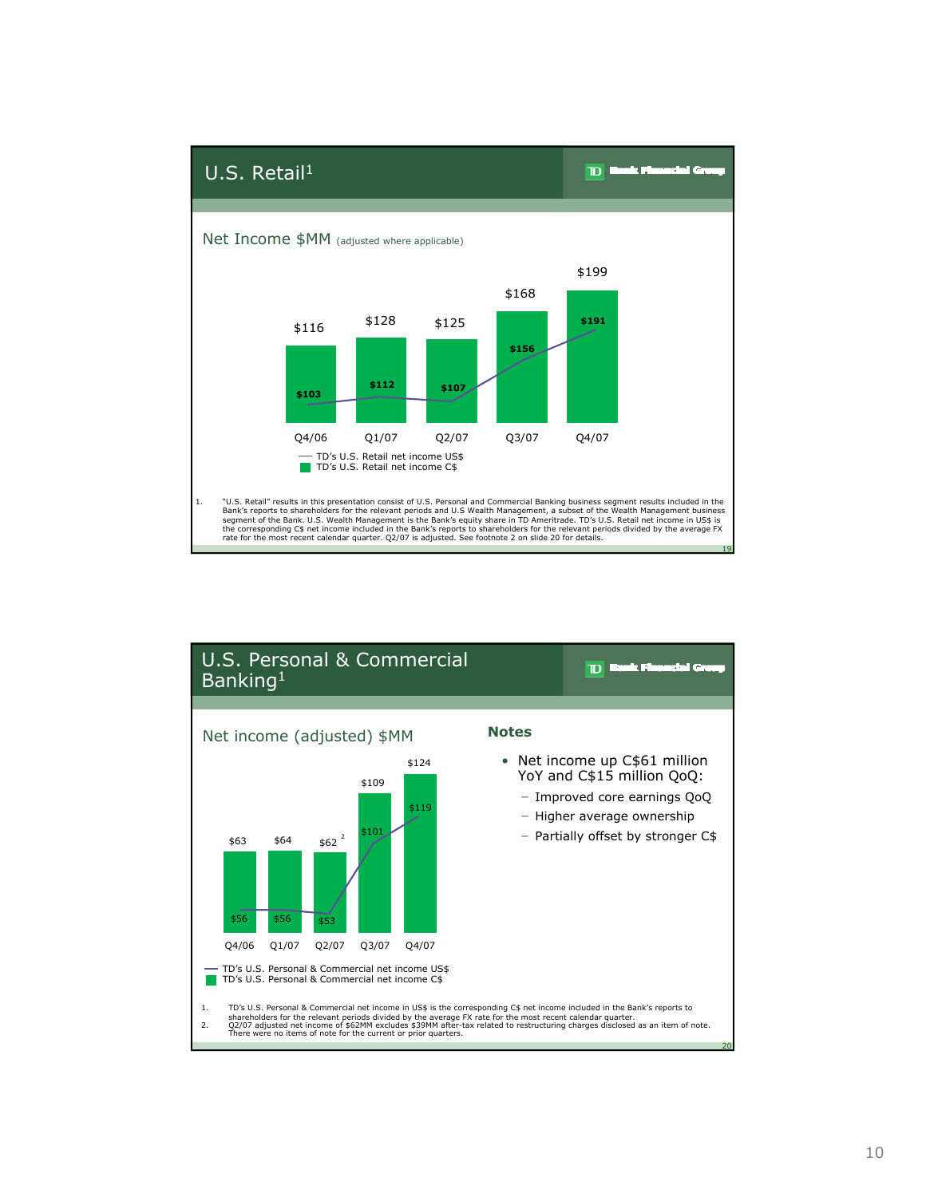

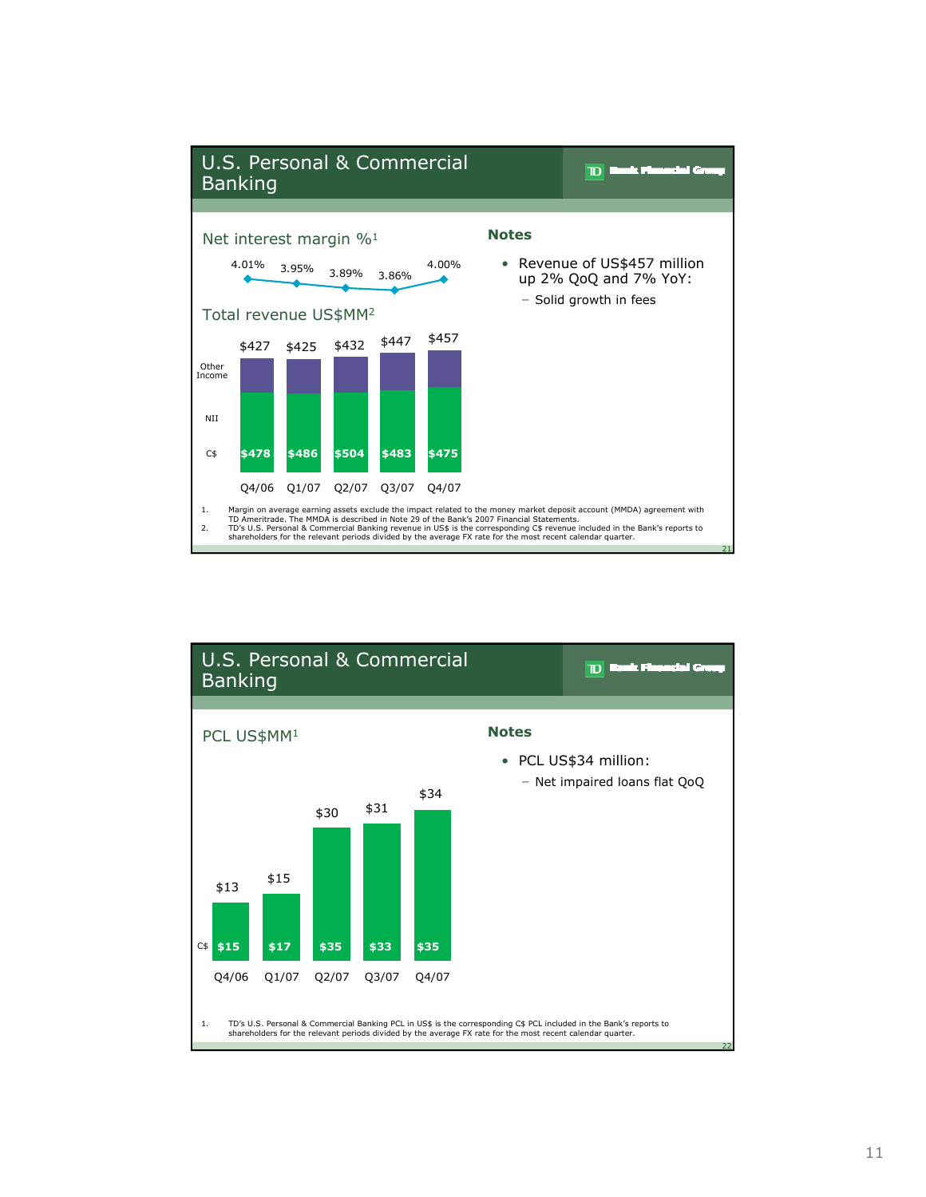

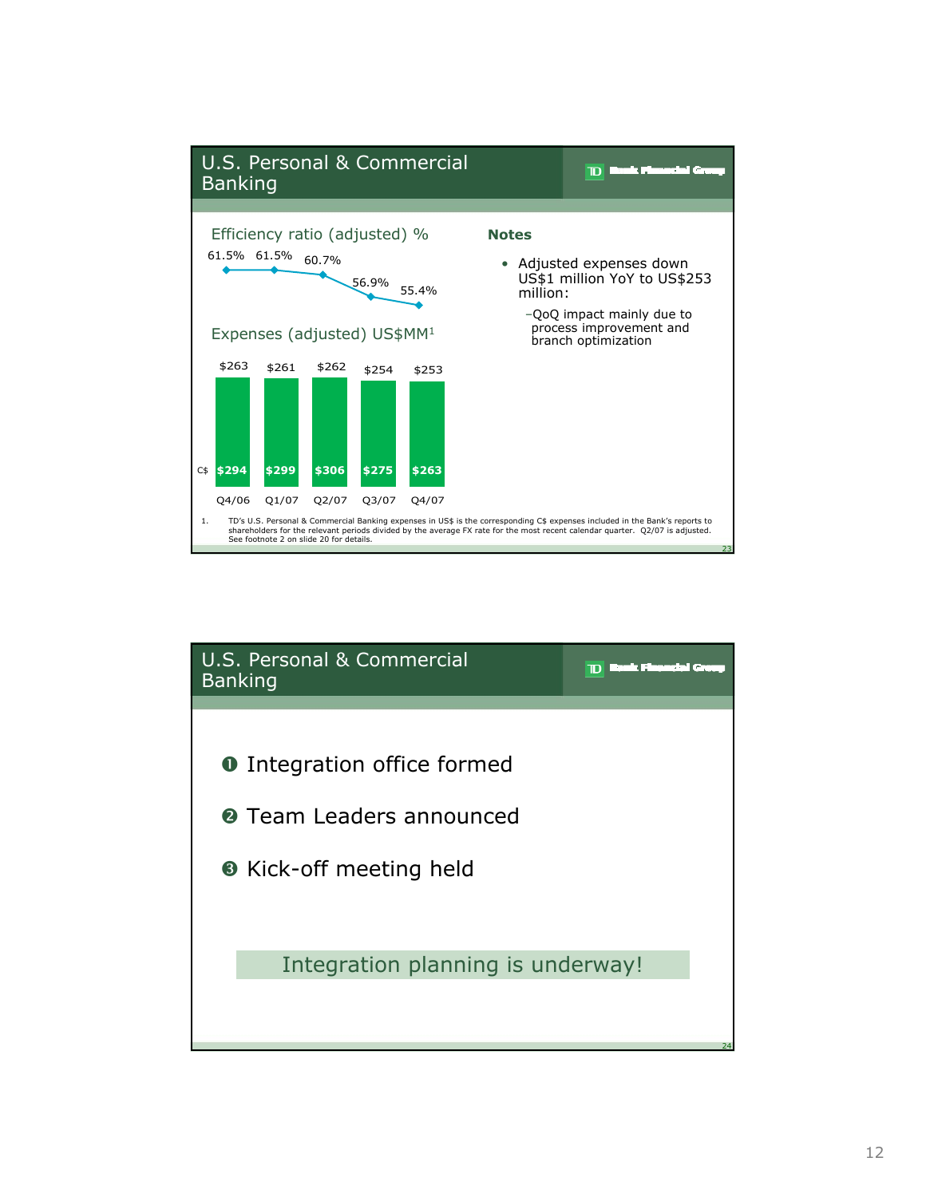

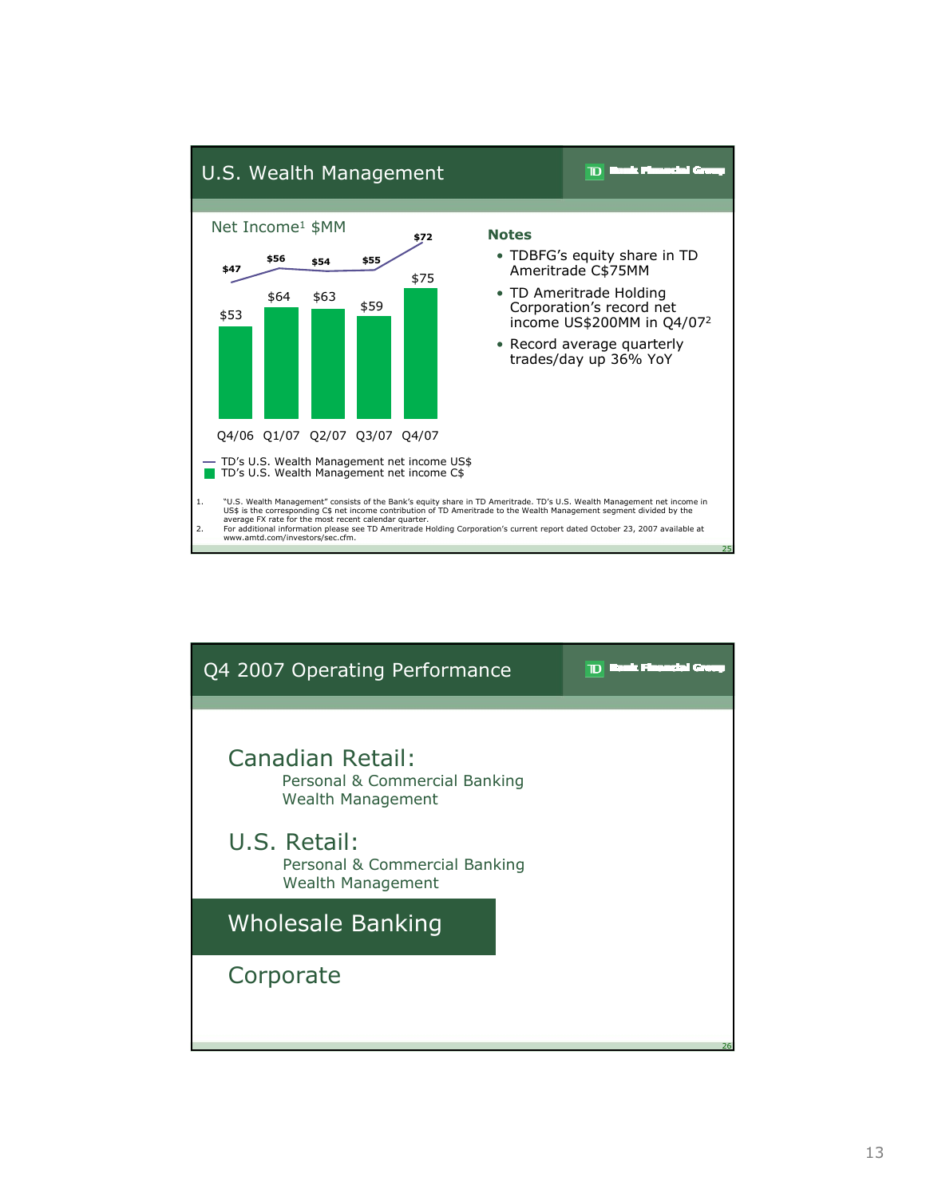

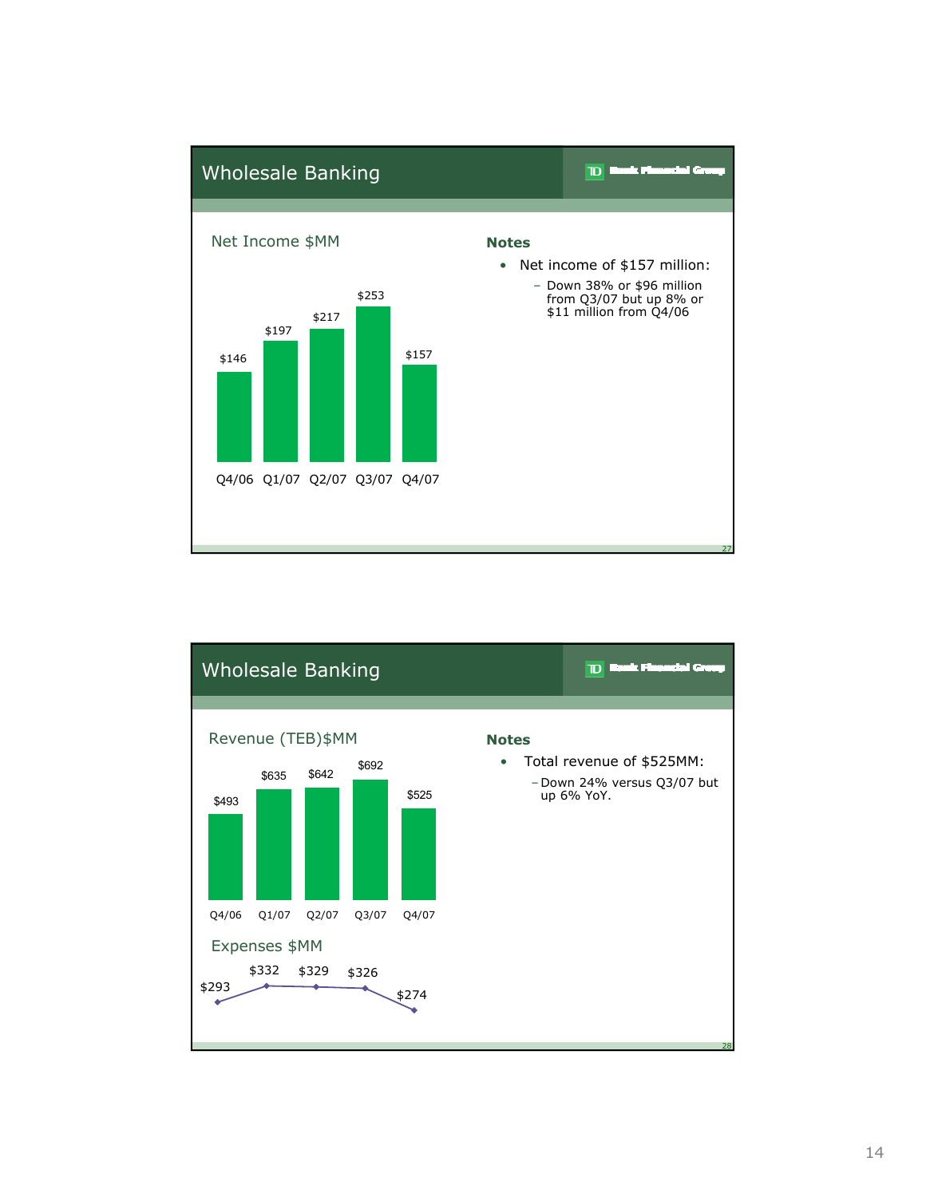

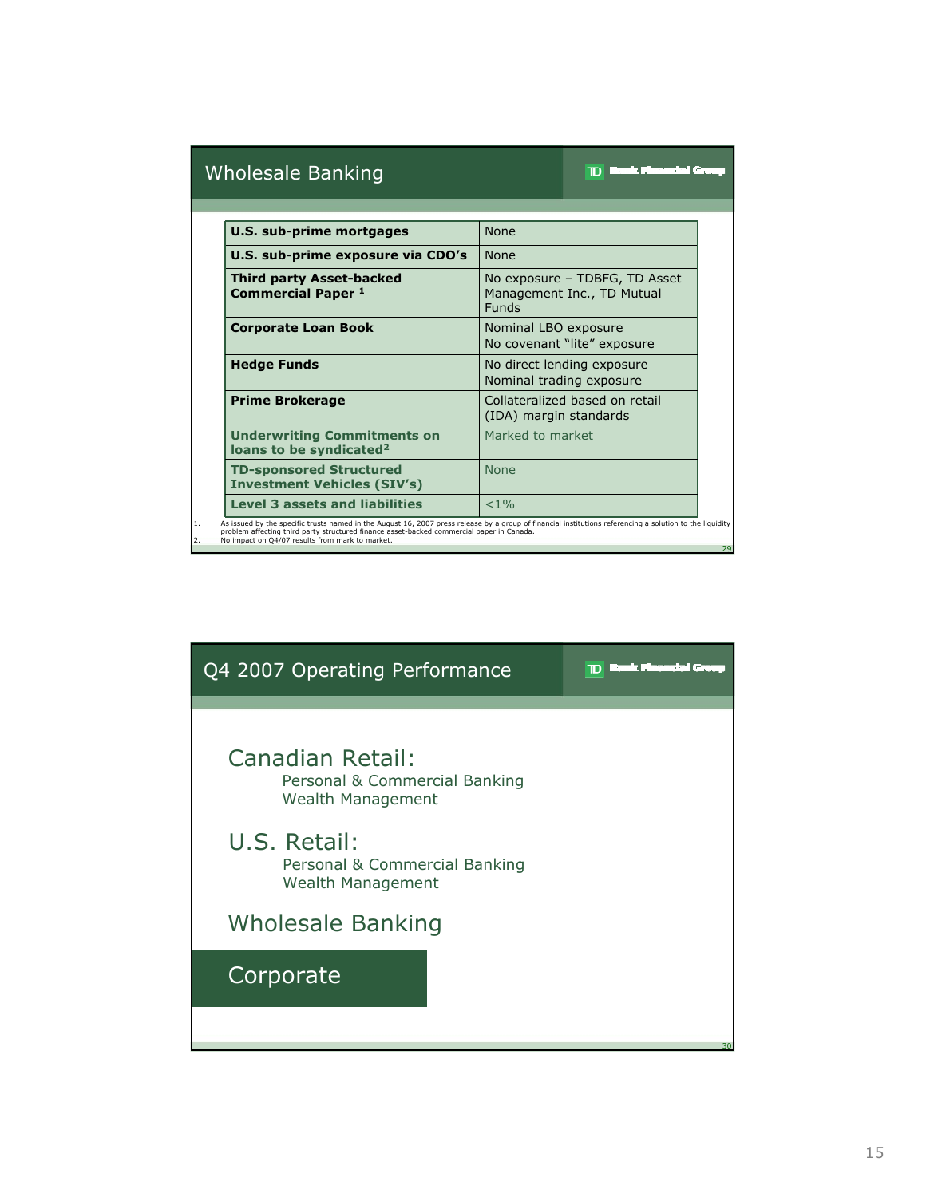# Wholesale Banking

# **TD Back Pleasachd** Gr

| <b>U.S. sub-prime mortgages</b>                                           | <b>None</b>                                                                 |
|---------------------------------------------------------------------------|-----------------------------------------------------------------------------|
| U.S. sub-prime exposure via CDO's                                         | <b>None</b>                                                                 |
| <b>Third party Asset-backed</b><br><b>Commercial Paper 1</b>              | No exposure - TDBFG, TD Asset<br>Management Inc., TD Mutual<br><b>Funds</b> |
| <b>Corporate Loan Book</b>                                                | Nominal LBO exposure<br>No covenant "lite" exposure                         |
| <b>Hedge Funds</b>                                                        | No direct lending exposure<br>Nominal trading exposure                      |
| <b>Prime Brokerage</b>                                                    | Collateralized based on retail<br>(IDA) margin standards                    |
| <b>Underwriting Commitments on</b><br>loans to be syndicated <sup>2</sup> | Marked to market                                                            |
| <b>TD-sponsored Structured</b><br><b>Investment Vehicles (SIV's)</b>      | <b>None</b>                                                                 |
| <b>Level 3 assets and liabilities</b>                                     | < 1 %                                                                       |

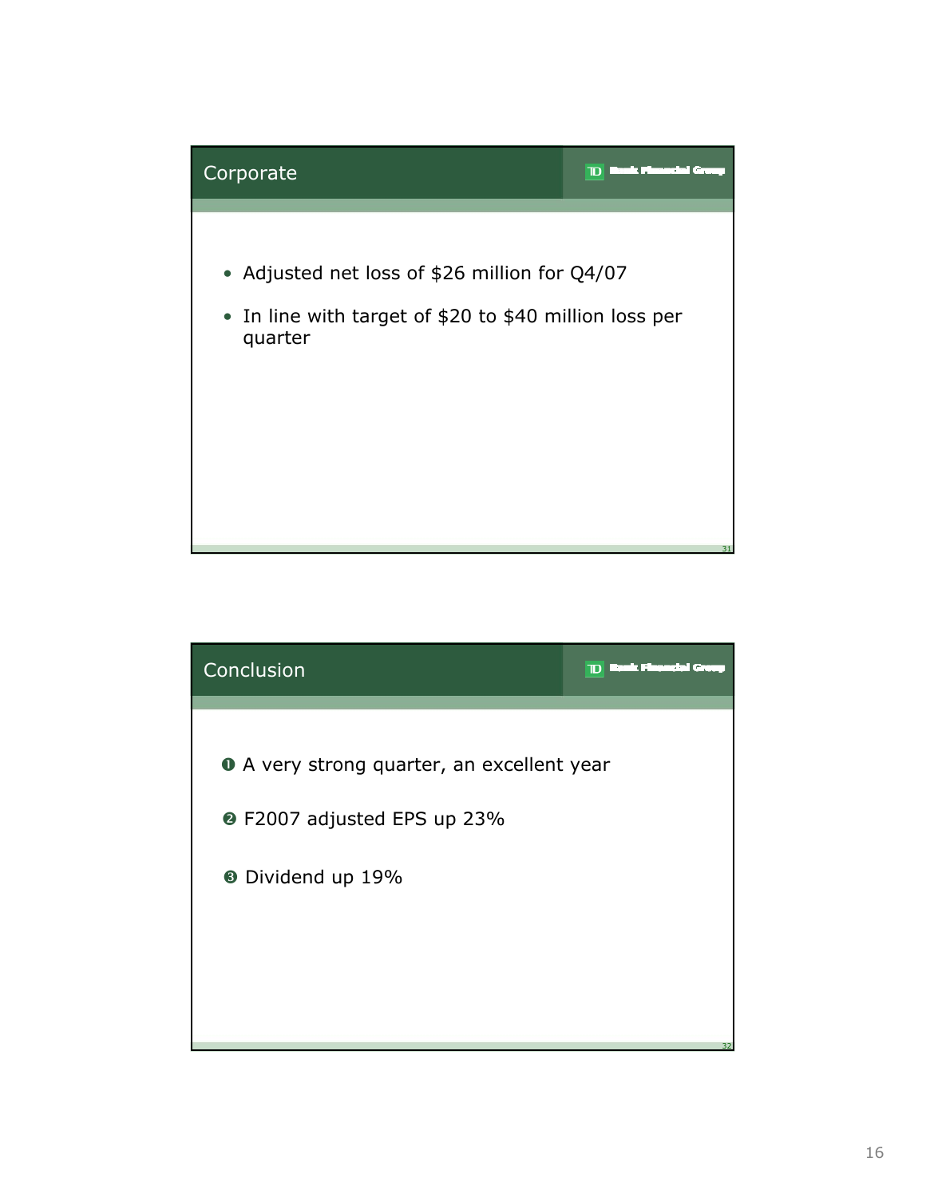